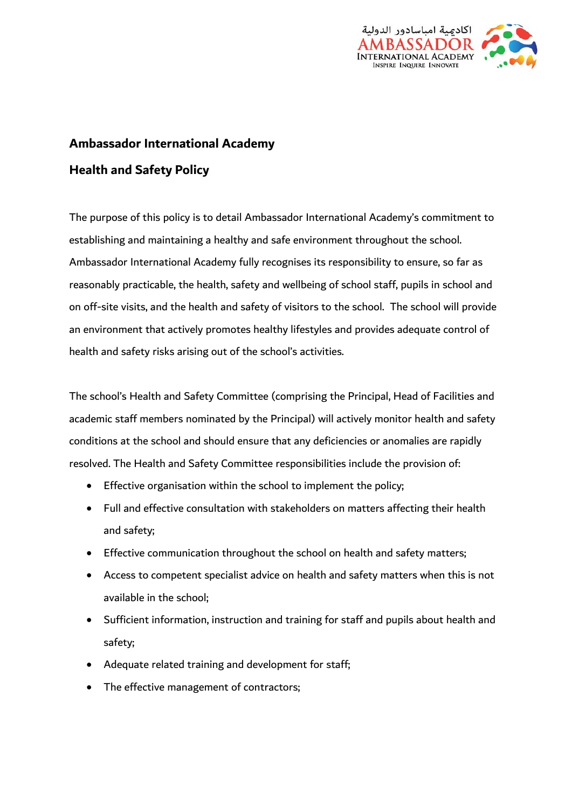

# **Ambassador International Academy Health and Safety Policy**

The purpose of this policy is to detail Ambassador International Academy's commitment to establishing and maintaining a healthy and safe environment throughout the school. Ambassador International Academy fully recognises its responsibility to ensure, so far as reasonably practicable, the health, safety and wellbeing of school staff, pupils in school and on off-site visits, and the health and safety of visitors to the school. The school will provide an environment that actively promotes healthy lifestyles and provides adequate control of health and safety risks arising out of the school's activities.

The school's Health and Safety Committee (comprising the Principal, Head of Facilities and academic staff members nominated by the Principal) will actively monitor health and safety conditions at the school and should ensure that any deficiencies or anomalies are rapidly resolved. The Health and Safety Committee responsibilities include the provision of:

- Effective organisation within the school to implement the policy;
- Full and effective consultation with stakeholders on matters affecting their health and safety;
- Effective communication throughout the school on health and safety matters;
- Access to competent specialist advice on health and safety matters when this is not available in the school;
- Sufficient information, instruction and training for staff and pupils about health and safety;
- Adequate related training and development for staff;
- The effective management of contractors;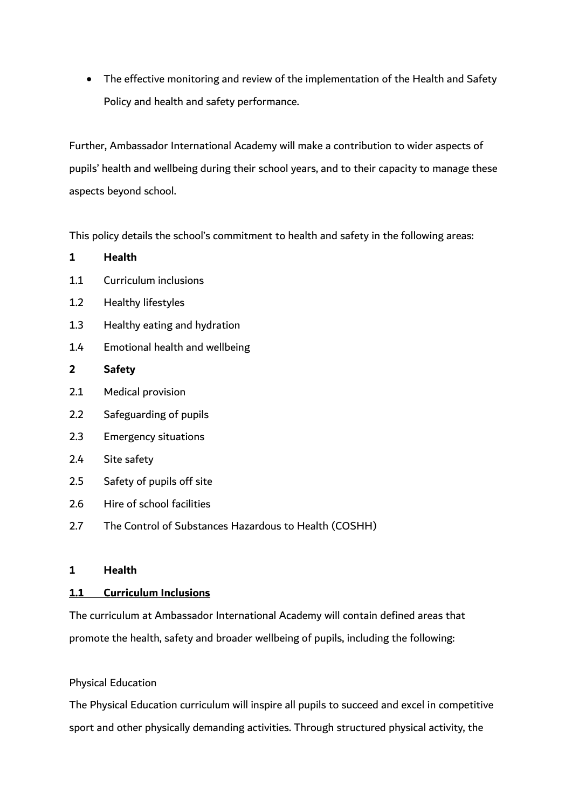• The effective monitoring and review of the implementation of the Health and Safety Policy and health and safety performance.

Further, Ambassador International Academy will make a contribution to wider aspects of pupils' health and wellbeing during their school years, and to their capacity to manage these aspects beyond school.

This policy details the school's commitment to health and safety in the following areas:

| 1              | Health                                                |
|----------------|-------------------------------------------------------|
| 1.1            | Curriculum inclusions                                 |
| 1.2            | Healthy lifestyles                                    |
| 1.3            | Healthy eating and hydration                          |
| 1.4            | Emotional health and wellbeing                        |
| $\overline{2}$ | <b>Safety</b>                                         |
| 2.1            | Medical provision                                     |
| 2.2            | Safeguarding of pupils                                |
| 2.3            | <b>Emergency situations</b>                           |
| 2.4            | Site safety                                           |
| 2.5            | Safety of pupils off site                             |
| 2.6            | Hire of school facilities                             |
| 2.7            | The Control of Substances Hazardous to Health (COSHH) |

# **1 Health**

### **1.1 Curriculum Inclusions**

The curriculum at Ambassador International Academy will contain defined areas that promote the health, safety and broader wellbeing of pupils, including the following:

### Physical Education

The Physical Education curriculum will inspire all pupils to succeed and excel in competitive sport and other physically demanding activities. Through structured physical activity, the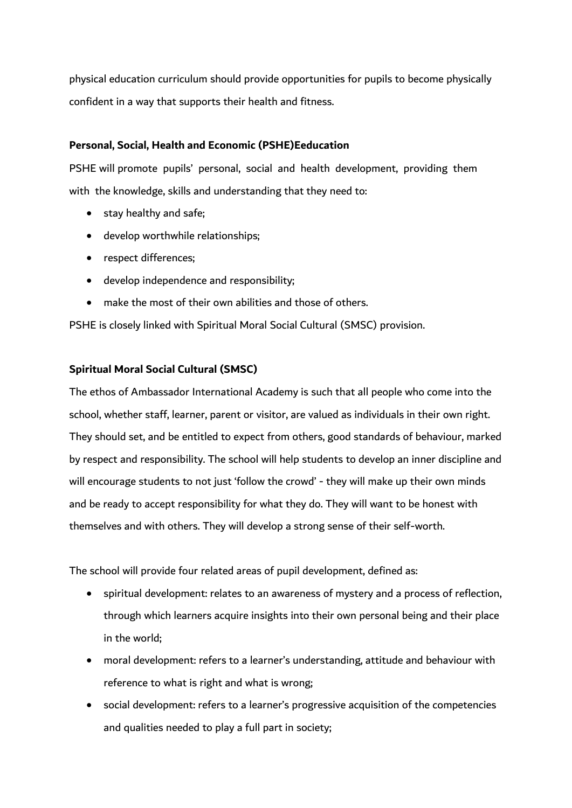physical education curriculum should provide opportunities for pupils to become physically confident in a way that supports their health and fitness.

# **Personal, Social, Health and Economic (PSHE)Eeducation**

PSHE will promote pupils' personal, social and health development, providing them with the knowledge, skills and understanding that they need to:

- stay healthy and safe;
- develop worthwhile relationships;
- respect differences;
- develop independence and responsibility;
- make the most of their own abilities and those of others.

PSHE is closely linked with Spiritual Moral Social Cultural (SMSC) provision.

### **Spiritual Moral Social Cultural (SMSC)**

The ethos of Ambassador International Academy is such that all people who come into the school, whether staff, learner, parent or visitor, are valued as individuals in their own right. They should set, and be entitled to expect from others, good standards of behaviour, marked by respect and responsibility. The school will help students to develop an inner discipline and will encourage students to not just 'follow the crowd' - they will make up their own minds and be ready to accept responsibility for what they do. They will want to be honest with themselves and with others. They will develop a strong sense of their self-worth.

The school will provide four related areas of pupil development, defined as:

- spiritual development: relates to an awareness of mystery and a process of reflection, through which learners acquire insights into their own personal being and their place in the world;
- moral development: refers to a learner's understanding, attitude and behaviour with reference to what is right and what is wrong;
- social development: refers to a learner's progressive acquisition of the competencies and qualities needed to play a full part in society;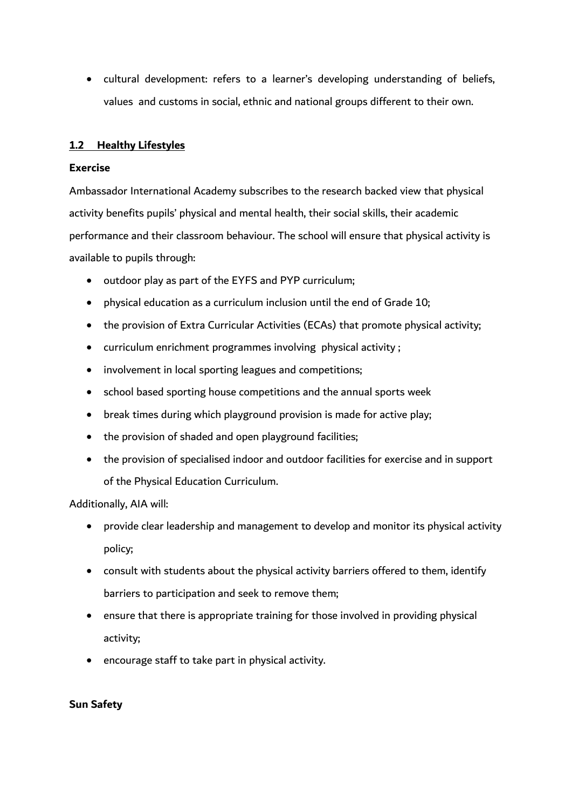cultural development: refers to a learner's developing understanding of beliefs, values and customs in social, ethnic and national groups different to their own.

### **1.2 Healthy Lifestyles**

### **Exercise**

Ambassador International Academy subscribes to the research backed view that physical activity benefits pupils' physical and mental health, their social skills, their academic performance and their classroom behaviour. The school will ensure that physical activity is available to pupils through:

- outdoor play as part of the EYFS and PYP curriculum;
- physical education as a curriculum inclusion until the end of Grade 10;
- the provision of Extra Curricular Activities (ECAs) that promote physical activity;
- curriculum enrichment programmes involving physical activity ;
- involvement in local sporting leagues and competitions;
- school based sporting house competitions and the annual sports week
- break times during which playground provision is made for active play;
- the provision of shaded and open playground facilities;
- the provision of specialised indoor and outdoor facilities for exercise and in support of the Physical Education Curriculum.

Additionally, AIA will:

- provide clear leadership and management to develop and monitor its physical activity policy;
- consult with students about the physical activity barriers offered to them, identify barriers to participation and seek to remove them;
- ensure that there is appropriate training for those involved in providing physical activity;
- encourage staff to take part in physical activity.

### **Sun Safety**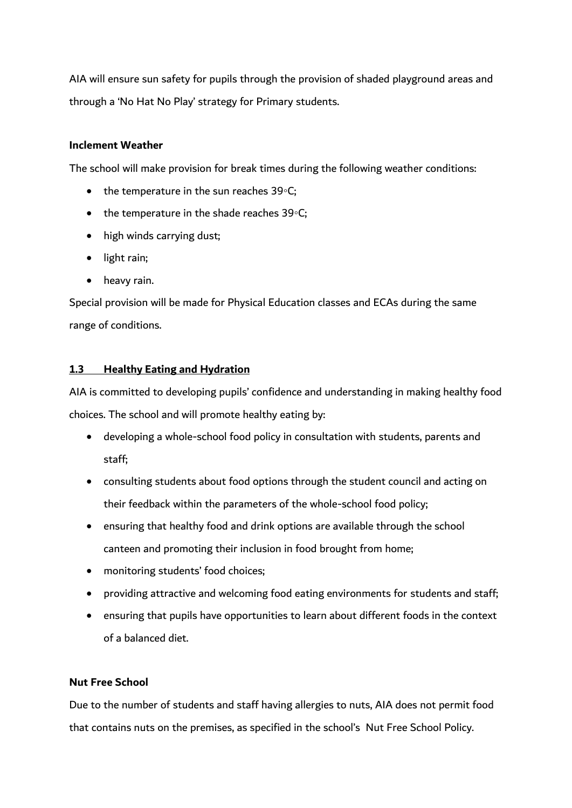AIA will ensure sun safety for pupils through the provision of shaded playground areas and through a 'No Hat No Play' strategy for Primary students.

### **Inclement Weather**

The school will make provision for break times during the following weather conditions:

- the temperature in the sun reaches 39∘C;
- the temperature in the shade reaches 39∘C;
- high winds carrying dust;
- light rain;
- heavy rain.

Special provision will be made for Physical Education classes and ECAs during the same range of conditions.

# **1.3 Healthy Eating and Hydration**

AIA is committed to developing pupils' confidence and understanding in making healthy food choices. The school and will promote healthy eating by:

- developing a whole-school food policy in consultation with students, parents and staff;
- consulting students about food options through the student council and acting on their feedback within the parameters of the whole-school food policy;
- ensuring that healthy food and drink options are available through the school canteen and promoting their inclusion in food brought from home;
- monitoring students' food choices;
- providing attractive and welcoming food eating environments for students and staff;
- ensuring that pupils have opportunities to learn about different foods in the context of a balanced diet.

# **Nut Free School**

Due to the number of students and staff having allergies to nuts, AIA does not permit food that contains nuts on the premises, as specified in the school's Nut Free School Policy.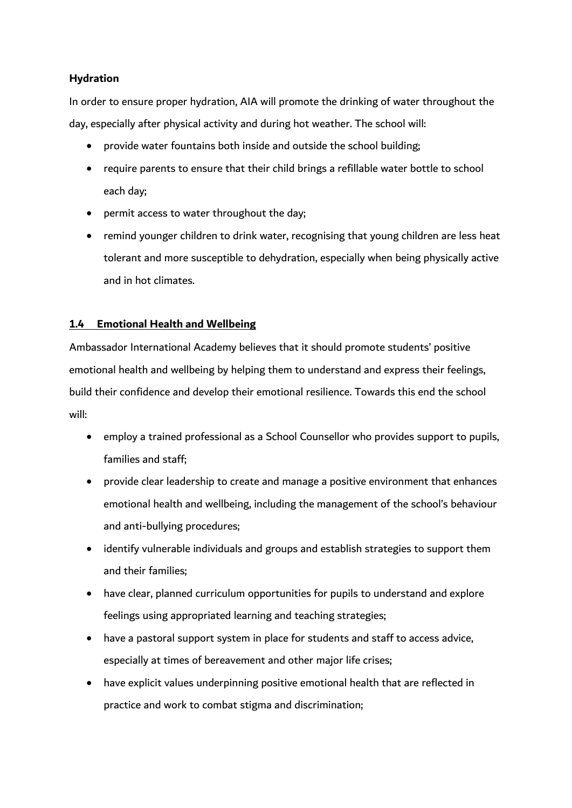### **Hydration**

In order to ensure proper hydration, AIA will promote the drinking of water throughout the day, especially after physical activity and during hot weather. The school will:

- provide water fountains both inside and outside the school building;
- require parents to ensure that their child brings a refillable water bottle to school each day;
- permit access to water throughout the day;
- remind younger children to drink water, recognising that young children are less heat tolerant and more susceptible to dehydration, especially when being physically active and in hot climates.

# **1.4 Emotional Health and Wellbeing**

Ambassador International Academy believes that it should promote students' positive emotional health and wellbeing by helping them to understand and express their feelings, build their confidence and develop their emotional resilience. Towards this end the school will:

- employ a trained professional as a School Counsellor who provides support to pupils, families and staff;
- provide clear leadership to create and manage a positive environment that enhances emotional health and wellbeing, including the management of the school's behaviour and anti-bullying procedures;
- identify vulnerable individuals and groups and establish strategies to support them and their families;
- have clear, planned curriculum opportunities for pupils to understand and explore feelings using appropriated learning and teaching strategies;
- have a pastoral support system in place for students and staff to access advice, especially at times of bereavement and other major life crises;
- have explicit values underpinning positive emotional health that are reflected in practice and work to combat stigma and discrimination;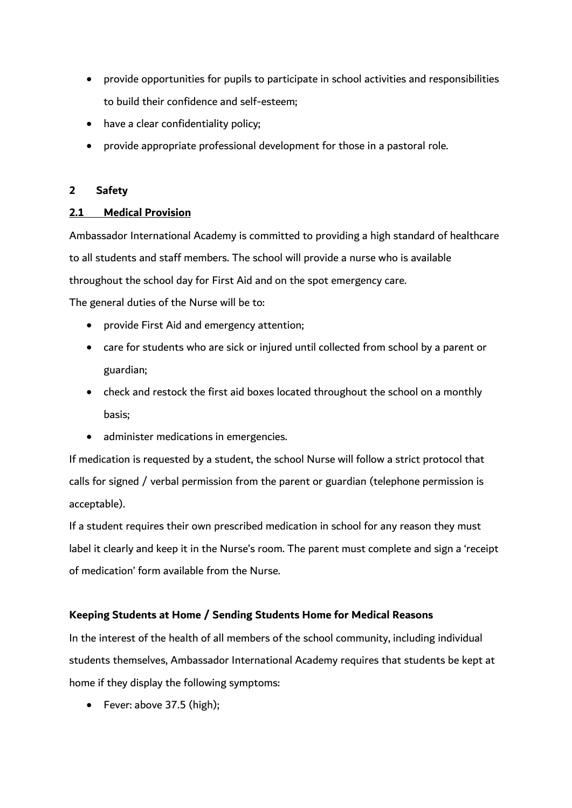- provide opportunities for pupils to participate in school activities and responsibilities to build their confidence and self-esteem;
- have a clear confidentiality policy;
- provide appropriate professional development for those in a pastoral role.

# **2 Safety**

# **2.1 Medical Provision**

Ambassador International Academy is committed to providing a high standard of healthcare to all students and staff members. The school will provide a nurse who is available throughout the school day for First Aid and on the spot emergency care.

The general duties of the Nurse will be to:

- provide First Aid and emergency attention;
- care for students who are sick or injured until collected from school by a parent or guardian;
- check and restock the first aid boxes located throughout the school on a monthly basis;
- administer medications in emergencies.

If medication is requested by a student, the school Nurse will follow a strict protocol that calls for signed / verbal permission from the parent or guardian (telephone permission is acceptable).

If a student requires their own prescribed medication in school for any reason they must label it clearly and keep it in the Nurse's room. The parent must complete and sign a 'receipt of medication' form available from the Nurse.

# **Keeping Students at Home / Sending Students Home for Medical Reasons**

In the interest of the health of all members of the school community, including individual students themselves, Ambassador International Academy requires that students be kept at home if they display the following symptoms:

Fever: above 37.5 (high);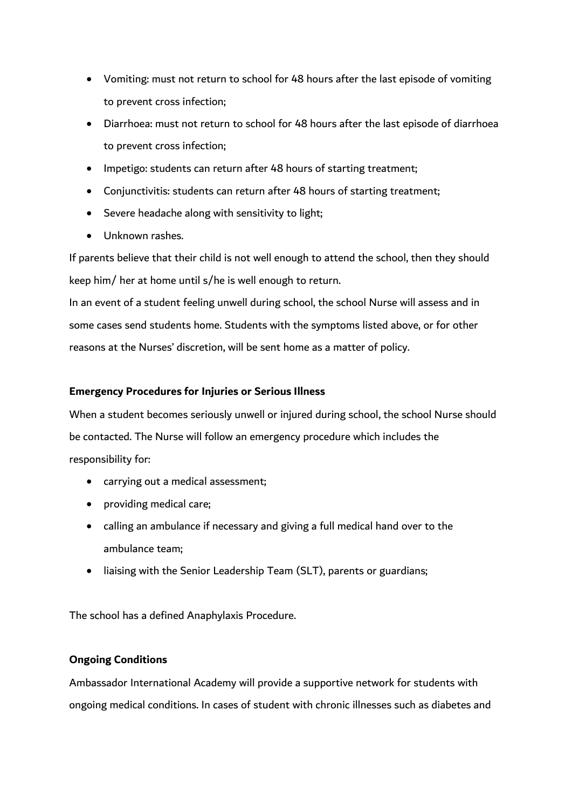- Vomiting: must not return to school for 48 hours after the last episode of vomiting to prevent cross infection;
- Diarrhoea: must not return to school for 48 hours after the last episode of diarrhoea to prevent cross infection;
- Impetigo: students can return after 48 hours of starting treatment;
- Conjunctivitis: students can return after 48 hours of starting treatment;
- Severe headache along with sensitivity to light;
- Unknown rashes.

If parents believe that their child is not well enough to attend the school, then they should keep him/ her at home until s/he is well enough to return.

In an event of a student feeling unwell during school, the school Nurse will assess and in some cases send students home. Students with the symptoms listed above, or for other reasons at the Nurses' discretion, will be sent home as a matter of policy.

### **Emergency Procedures for Injuries or Serious Illness**

When a student becomes seriously unwell or injured during school, the school Nurse should be contacted. The Nurse will follow an emergency procedure which includes the responsibility for:

- carrying out a medical assessment;
- providing medical care;
- calling an ambulance if necessary and giving a full medical hand over to the ambulance team;
- liaising with the Senior Leadership Team (SLT), parents or guardians;

The school has a defined Anaphylaxis Procedure.

# **Ongoing Conditions**

Ambassador International Academy will provide a supportive network for students with ongoing medical conditions. In cases of student with chronic illnesses such as diabetes and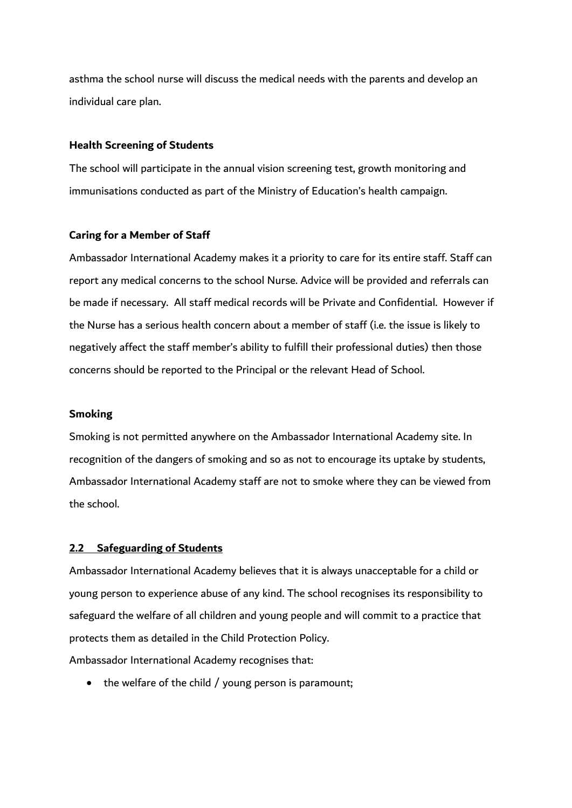asthma the school nurse will discuss the medical needs with the parents and develop an individual care plan.

#### **Health Screening of Students**

The school will participate in the annual vision screening test, growth monitoring and immunisations conducted as part of the Ministry of Education's health campaign.

#### **Caring for a Member of Staff**

Ambassador International Academy makes it a priority to care for its entire staff. Staff can report any medical concerns to the school Nurse. Advice will be provided and referrals can be made if necessary. All staff medical records will be Private and Confidential. However if the Nurse has a serious health concern about a member of staff (i.e. the issue is likely to negatively affect the staff member's ability to fulfill their professional duties) then those concerns should be reported to the Principal or the relevant Head of School.

#### **Smoking**

Smoking is not permitted anywhere on the Ambassador International Academy site. In recognition of the dangers of smoking and so as not to encourage its uptake by students, Ambassador International Academy staff are not to smoke where they can be viewed from the school.

#### **2.2 Safeguarding of Students**

Ambassador International Academy believes that it is always unacceptable for a child or young person to experience abuse of any kind. The school recognises its responsibility to safeguard the welfare of all children and young people and will commit to a practice that protects them as detailed in the Child Protection Policy.

Ambassador International Academy recognises that:

• the welfare of the child / young person is paramount;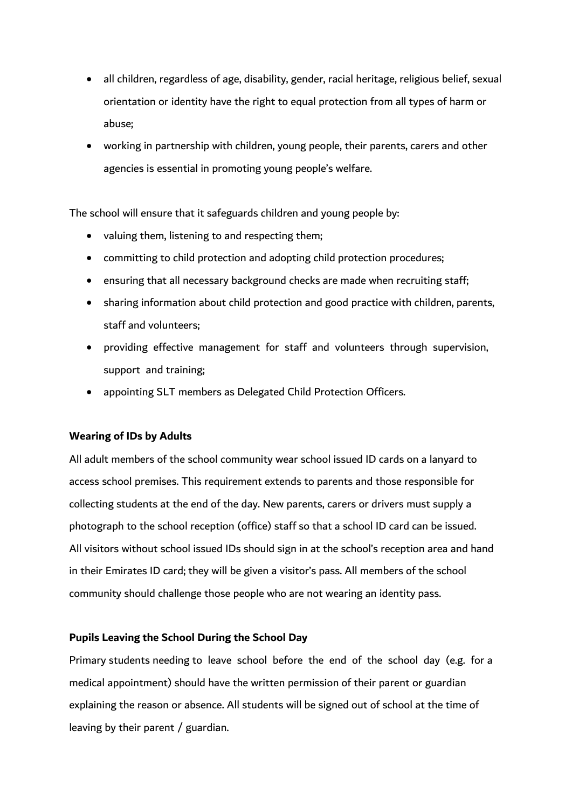- all children, regardless of age, disability, gender, racial heritage, religious belief, sexual orientation or identity have the right to equal protection from all types of harm or abuse;
- working in partnership with children, young people, their parents, carers and other agencies is essential in promoting young people's welfare.

The school will ensure that it safeguards children and young people by:

- valuing them, listening to and respecting them;
- committing to child protection and adopting child protection procedures;
- ensuring that all necessary background checks are made when recruiting staff;
- sharing information about child protection and good practice with children, parents, staff and volunteers;
- providing effective management for staff and volunteers through supervision, support and training;
- appointing SLT members as Delegated Child Protection Officers.

#### **Wearing of IDs by Adults**

All adult members of the school community wear school issued ID cards on a lanyard to access school premises. This requirement extends to parents and those responsible for collecting students at the end of the day. New parents, carers or drivers must supply a photograph to the school reception (office) staff so that a school ID card can be issued. All visitors without school issued IDs should sign in at the school's reception area and hand in their Emirates ID card; they will be given a visitor's pass. All members of the school community should challenge those people who are not wearing an identity pass.

#### **Pupils Leaving the School During the School Day**

Primary students needing to leave school before the end of the school day (e.g. for a medical appointment) should have the written permission of their parent or guardian explaining the reason or absence. All students will be signed out of school at the time of leaving by their parent / guardian.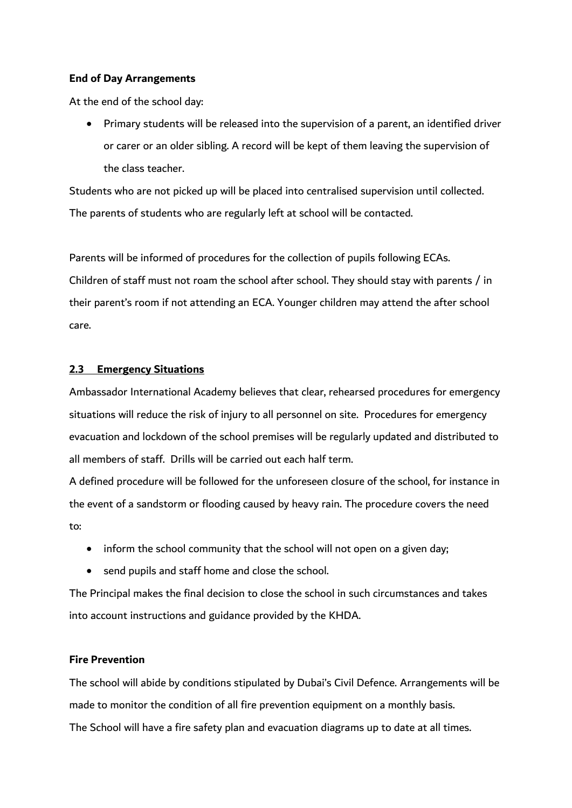### **End of Day Arrangements**

At the end of the school day:

 Primary students will be released into the supervision of a parent, an identified driver or carer or an older sibling. A record will be kept of them leaving the supervision of the class teacher.

Students who are not picked up will be placed into centralised supervision until collected. The parents of students who are regularly left at school will be contacted.

Parents will be informed of procedures for the collection of pupils following ECAs. Children of staff must not roam the school after school. They should stay with parents / in their parent's room if not attending an ECA. Younger children may attend the after school care.

### **2.3 Emergency Situations**

Ambassador International Academy believes that clear, rehearsed procedures for emergency situations will reduce the risk of injury to all personnel on site. Procedures for emergency evacuation and lockdown of the school premises will be regularly updated and distributed to all members of staff. Drills will be carried out each half term.

A defined procedure will be followed for the unforeseen closure of the school, for instance in the event of a sandstorm or flooding caused by heavy rain. The procedure covers the need to:

- inform the school community that the school will not open on a given day;
- send pupils and staff home and close the school.

The Principal makes the final decision to close the school in such circumstances and takes into account instructions and guidance provided by the KHDA.

### **Fire Prevention**

The school will abide by conditions stipulated by Dubai's Civil Defence. Arrangements will be made to monitor the condition of all fire prevention equipment on a monthly basis. The School will have a fire safety plan and evacuation diagrams up to date at all times.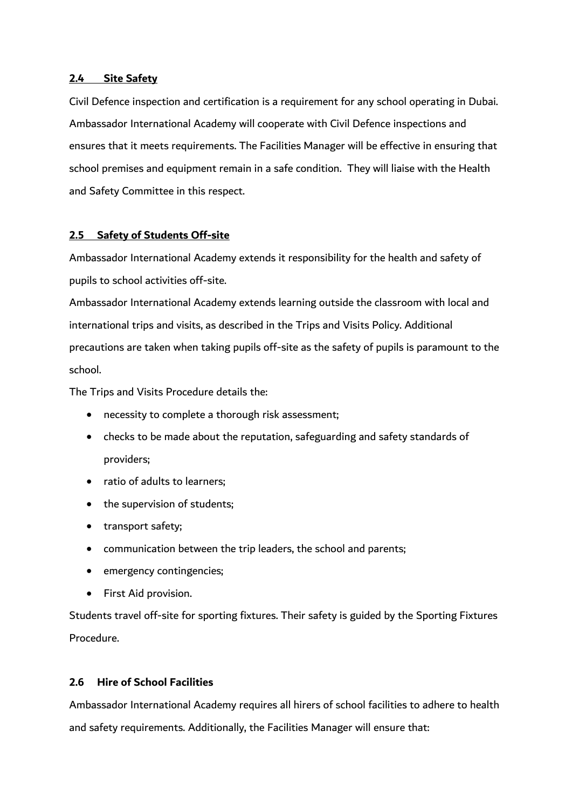#### **2.4 Site Safety**

Civil Defence inspection and certification is a requirement for any school operating in Dubai. Ambassador International Academy will cooperate with Civil Defence inspections and ensures that it meets requirements. The Facilities Manager will be effective in ensuring that school premises and equipment remain in a safe condition. They will liaise with the Health and Safety Committee in this respect.

### **2.5 Safety of Students Off-site**

Ambassador International Academy extends it responsibility for the health and safety of pupils to school activities off-site.

Ambassador International Academy extends learning outside the classroom with local and international trips and visits, as described in the Trips and Visits Policy. Additional precautions are taken when taking pupils off-site as the safety of pupils is paramount to the school.

The Trips and Visits Procedure details the:

- necessity to complete a thorough risk assessment;
- checks to be made about the reputation, safeguarding and safety standards of providers;
- ratio of adults to learners:
- the supervision of students:
- transport safety;
- communication between the trip leaders, the school and parents;
- emergency contingencies;
- First Aid provision.

Students travel off-site for sporting fixtures. Their safety is guided by the Sporting Fixtures Procedure.

### **2.6 Hire of School Facilities**

Ambassador International Academy requires all hirers of school facilities to adhere to health and safety requirements. Additionally, the Facilities Manager will ensure that: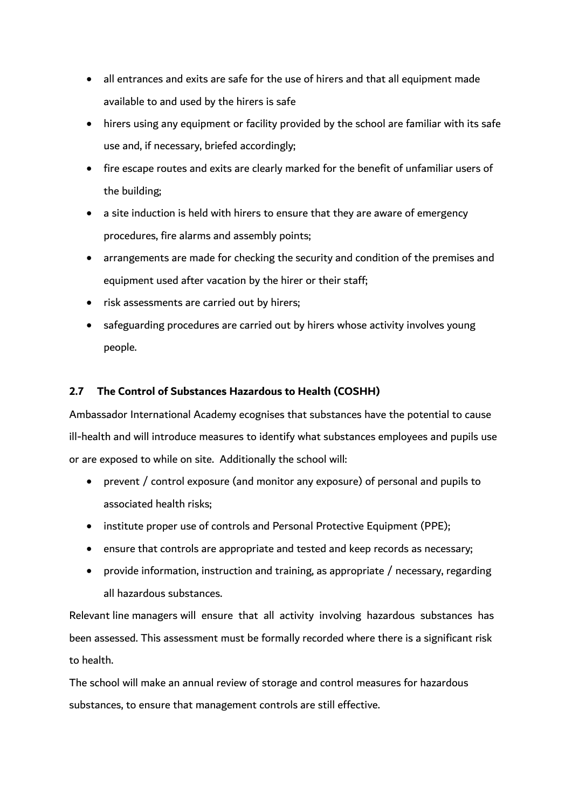- all entrances and exits are safe for the use of hirers and that all equipment made available to and used by the hirers is safe
- hirers using any equipment or facility provided by the school are familiar with its safe use and, if necessary, briefed accordingly;
- fire escape routes and exits are clearly marked for the benefit of unfamiliar users of the building;
- a site induction is held with hirers to ensure that they are aware of emergency procedures, fire alarms and assembly points;
- arrangements are made for checking the security and condition of the premises and equipment used after vacation by the hirer or their staff;
- risk assessments are carried out by hirers;
- safeguarding procedures are carried out by hirers whose activity involves young people.

# **2.7 The Control of Substances Hazardous to Health (COSHH)**

Ambassador International Academy ecognises that substances have the potential to cause ill-health and will introduce measures to identify what substances employees and pupils use or are exposed to while on site. Additionally the school will:

- prevent / control exposure (and monitor any exposure) of personal and pupils to associated health risks;
- institute proper use of controls and Personal Protective Equipment (PPE);
- ensure that controls are appropriate and tested and keep records as necessary;
- provide information, instruction and training, as appropriate / necessary, regarding all hazardous substances.

Relevant line managers will ensure that all activity involving hazardous substances has been assessed. This assessment must be formally recorded where there is a significant risk to health.

The school will make an annual review of storage and control measures for hazardous substances, to ensure that management controls are still effective.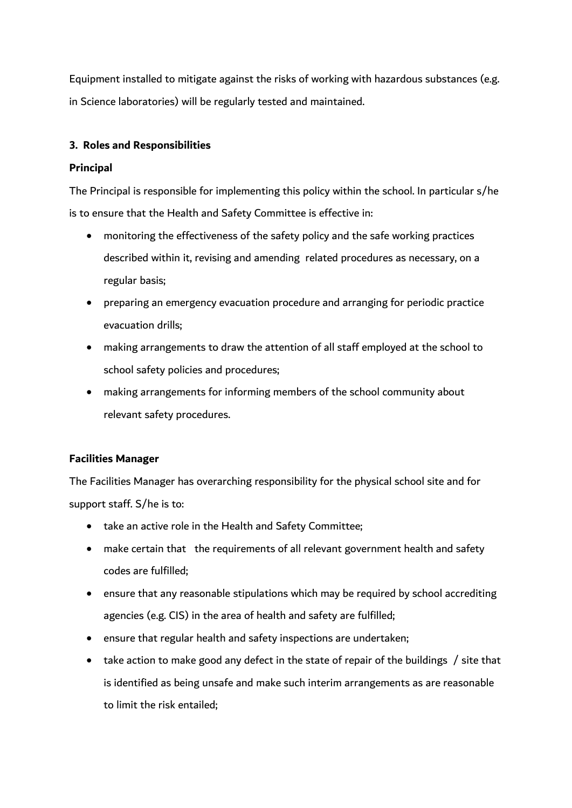Equipment installed to mitigate against the risks of working with hazardous substances (e.g. in Science laboratories) will be regularly tested and maintained.

# **3. Roles and Responsibilities**

### **Principal**

The Principal is responsible for implementing this policy within the school. In particular s/he is to ensure that the Health and Safety Committee is effective in:

- monitoring the effectiveness of the safety policy and the safe working practices described within it, revising and amending related procedures as necessary, on a regular basis;
- preparing an emergency evacuation procedure and arranging for periodic practice evacuation drills;
- making arrangements to draw the attention of all staff employed at the school to school safety policies and procedures;
- making arrangements for informing members of the school community about relevant safety procedures.

### **Facilities Manager**

The Facilities Manager has overarching responsibility for the physical school site and for support staff. S/he is to:

- take an active role in the Health and Safety Committee;
- make certain that the requirements of all relevant government health and safety codes are fulfilled;
- ensure that any reasonable stipulations which may be required by school accrediting agencies (e.g. CIS) in the area of health and safety are fulfilled;
- ensure that regular health and safety inspections are undertaken;
- take action to make good any defect in the state of repair of the buildings / site that is identified as being unsafe and make such interim arrangements as are reasonable to limit the risk entailed;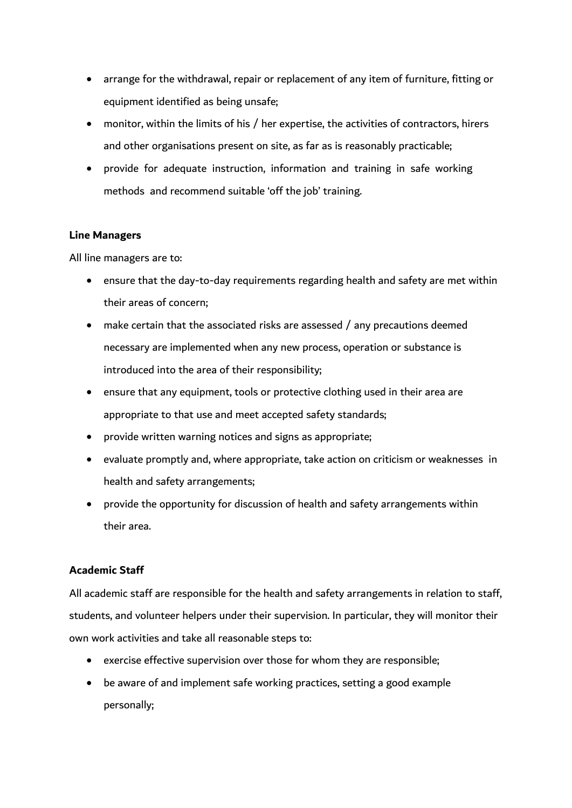- arrange for the withdrawal, repair or replacement of any item of furniture, fitting or equipment identified as being unsafe;
- monitor, within the limits of his / her expertise, the activities of contractors, hirers and other organisations present on site, as far as is reasonably practicable;
- provide for adequate instruction, information and training in safe working methods and recommend suitable 'off the job' training.

### **Line Managers**

All line managers are to:

- ensure that the day-to-day requirements regarding health and safety are met within their areas of concern;
- make certain that the associated risks are assessed / any precautions deemed necessary are implemented when any new process, operation or substance is introduced into the area of their responsibility;
- ensure that any equipment, tools or protective clothing used in their area are appropriate to that use and meet accepted safety standards;
- provide written warning notices and signs as appropriate;
- evaluate promptly and, where appropriate, take action on criticism or weaknesses in health and safety arrangements;
- provide the opportunity for discussion of health and safety arrangements within their area.

# **Academic Staff**

All academic staff are responsible for the health and safety arrangements in relation to staff, students, and volunteer helpers under their supervision. In particular, they will monitor their own work activities and take all reasonable steps to:

- exercise effective supervision over those for whom they are responsible;
- be aware of and implement safe working practices, setting a good example personally;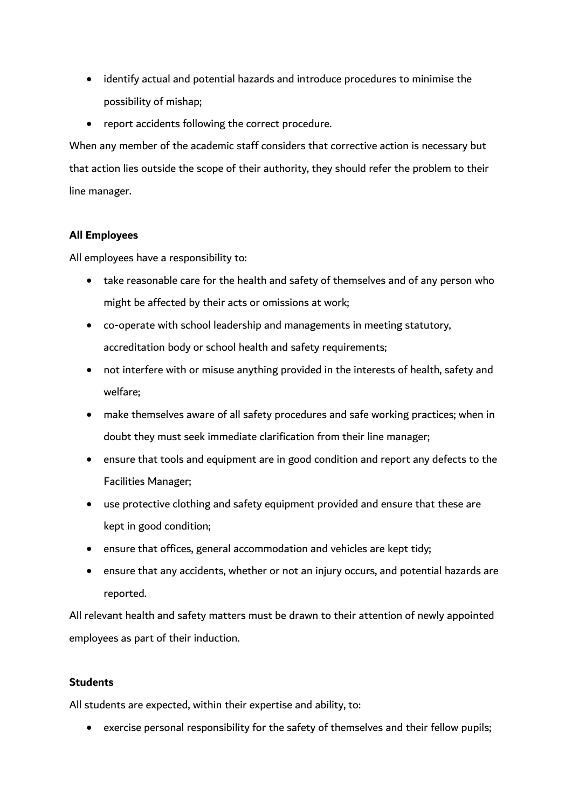- identify actual and potential hazards and introduce procedures to minimise the possibility of mishap;
- report accidents following the correct procedure.

When any member of the academic staff considers that corrective action is necessary but that action lies outside the scope of their authority, they should refer the problem to their line manager.

# **All Employees**

All employees have a responsibility to:

- take reasonable care for the health and safety of themselves and of any person who might be affected by their acts or omissions at work;
- co-operate with school leadership and managements in meeting statutory, accreditation body or school health and safety requirements;
- not interfere with or misuse anything provided in the interests of health, safety and welfare;
- make themselves aware of all safety procedures and safe working practices; when in doubt they must seek immediate clarification from their line manager;
- ensure that tools and equipment are in good condition and report any defects to the Facilities Manager;
- use protective clothing and safety equipment provided and ensure that these are kept in good condition;
- ensure that offices, general accommodation and vehicles are kept tidy;
- ensure that any accidents, whether or not an injury occurs, and potential hazards are reported.

All relevant health and safety matters must be drawn to their attention of newly appointed employees as part of their induction.

# **Students**

All students are expected, within their expertise and ability, to:

• exercise personal responsibility for the safety of themselves and their fellow pupils;